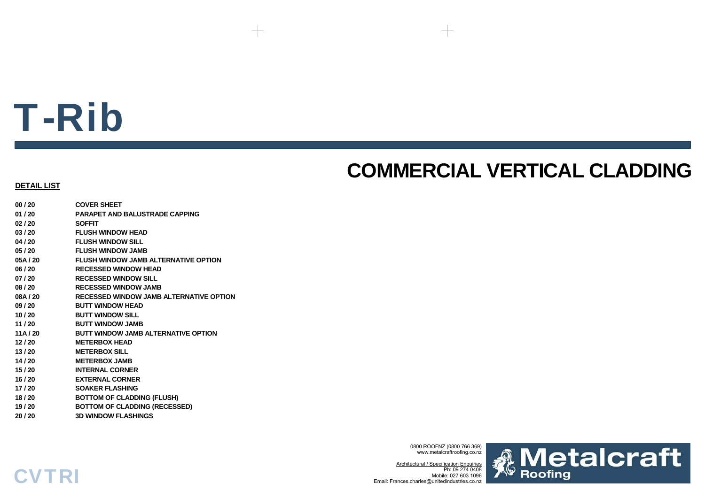# T-Rib

### **COMMERCIAL VERTICAL CLADDING**

#### **DETAIL LIST**

**CVTRI** 

| 00 / 20  | <b>COVER SHEET</b>                      |
|----------|-----------------------------------------|
| 01 / 20  | <b>PARAPET AND BALUSTRADE CAPPING</b>   |
| 02 / 20  | <b>SOFFIT</b>                           |
| 03 / 20  | <b>FLUSH WINDOW HEAD</b>                |
| 04 / 20  | <b>FLUSH WINDOW SILL</b>                |
| 05 / 20  | <b>FLUSH WINDOW JAMB</b>                |
| 05A / 20 | FLUSH WINDOW JAMB ALTERNATIVE OPTION    |
| 06 / 20  | <b>RECESSED WINDOW HEAD</b>             |
| 07 / 20  | <b>RECESSED WINDOW SILL</b>             |
| 08 / 20  | <b>RECESSED WINDOW JAMB</b>             |
| 08A / 20 | RECESSED WINDOW JAMB ALTERNATIVE OPTION |
| 09 / 20  | <b>BUTT WINDOW HEAD</b>                 |
| 10 / 20  | <b>BUTT WINDOW SILL</b>                 |
| 11 / 20  | <b>BUTT WINDOW JAMB</b>                 |
| 11A / 20 | BUTT WINDOW JAMB ALTERNATIVE OPTION     |
| 12 / 20  | <b>METERBOX HEAD</b>                    |
| 13 / 20  | <b>METERBOX SILL</b>                    |
| 14 / 20  | <b>METERBOX JAMB</b>                    |
| 15 / 20  | <b>INTERNAL CORNER</b>                  |
| 16 / 20  | <b>EXTERNAL CORNER</b>                  |
| 17 / 20  | <b>SOAKER FLASHING</b>                  |
| 18 / 20  | <b>BOTTOM OF CLADDING (FLUSH)</b>       |
| 19 / 20  | <b>BOTTOM OF CLADDING (RECESSED)</b>    |
| 20 / 20  | <b>3D WINDOW FLASHINGS</b>              |

0800 ROOFNZ (0800 766 369) www.metalcraftroofing.co.nz

Architectural / Specification Enquiries Ph: 09 274 0408 Mobile: 027 603 1096Email: Frances.charles@unitedindustries.co.nz

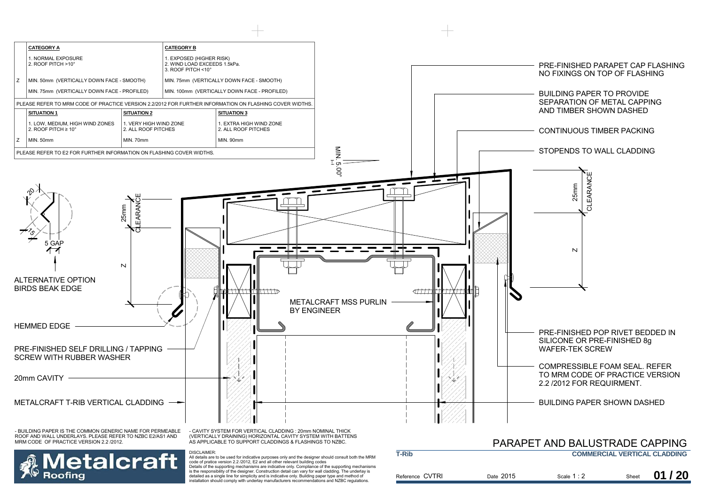

detailed as a single line for simplicity and is indicative only. Building paper type and method of installation should comply with underlay manufacturers recommendations and NZBC regulations.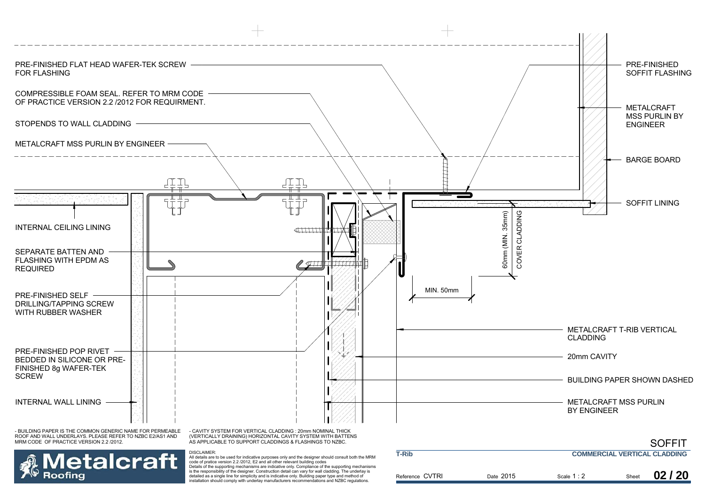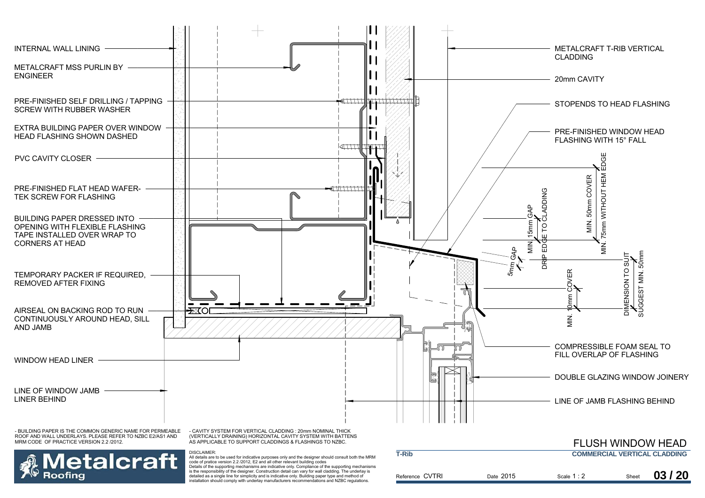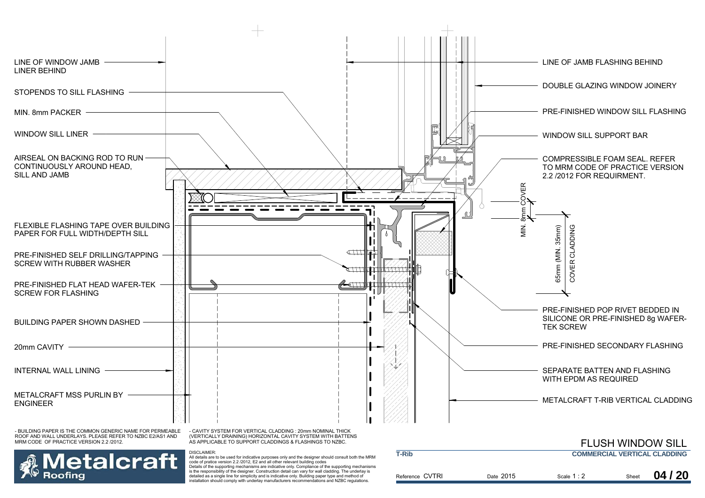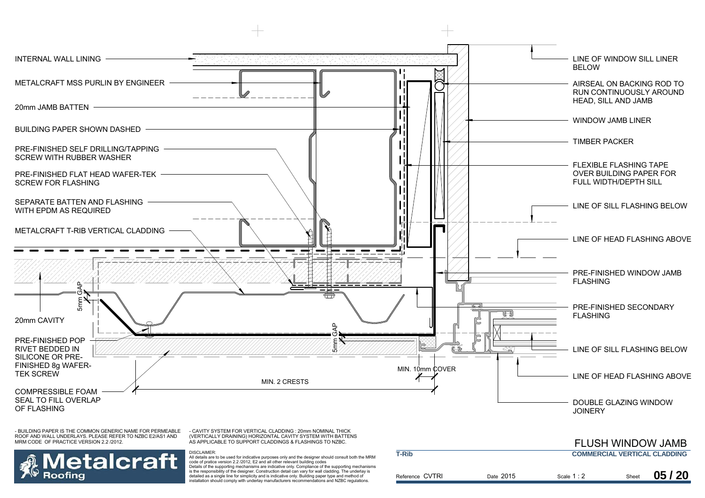

Reference CVTRI

Date 2015

Scale Sheet 1 : 2

is the responsibility of the designer. Construction detail can vary for wall cladding. The underlay is detailed as a single line for simplicity and is indicative only. Building paper type and method of installation should comply with underlay manufacturers recommendations and NZBC regulations.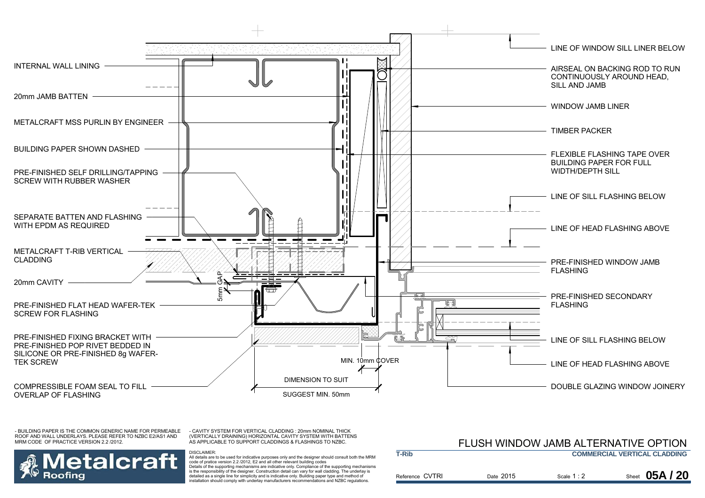

- CAVITY SYSTEM FOR VERTICAL CLADDING : 20mm NOMINAL THICK (VERTICALLY DRAINING) HORIZONTAL CAVITY SYSTEM WITH BATTENS AS APPLICABLE TO SUPPORT CLADDINGS & FLASHINGS TO NZBC.

DISCLAIMER:



 All details are to be used for indicative purposes only and the designer should consult both the MRM code of pratice version 2.2 /2012, E2 and all other relevant building codes Details of the supporting mechanisms are indicative only. Compliance of the supporting mechanisms is the responsibility of the designer. Construction detail can vary for wall cladding. The underlay is detailed as a single line for simplicity and is indicative only. Building paper type and method of installation should comply with underlay manufacturers recommendations and NZBC regulations.

### FLUSH WINDOW JAMB ALTERNATIVE OPTION

| T-Rib           |           |             | <b>COMMERCIAL VERTICAL CLADDING</b> |  |  |
|-----------------|-----------|-------------|-------------------------------------|--|--|
| Reference CVTRI | Date 2015 | Scale $1:2$ | Sheet 05A / 20                      |  |  |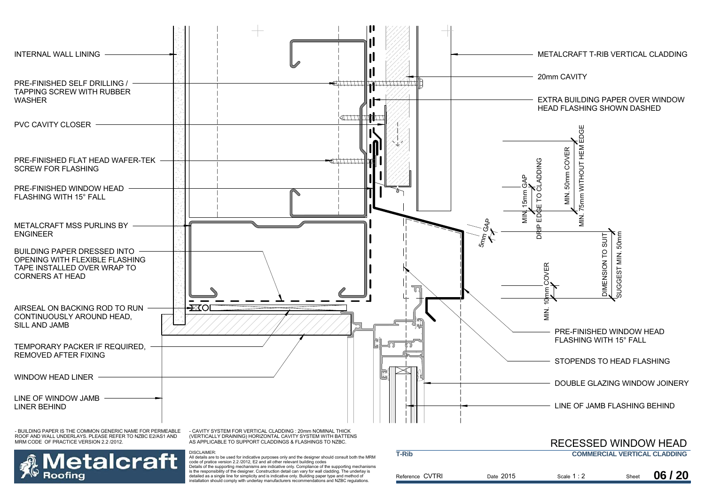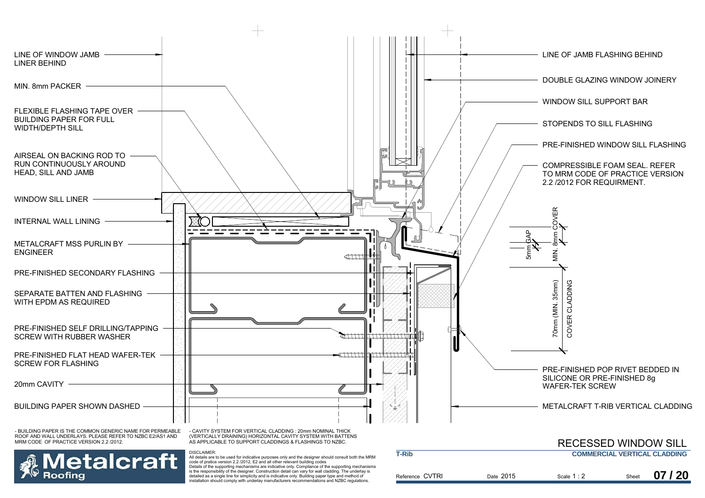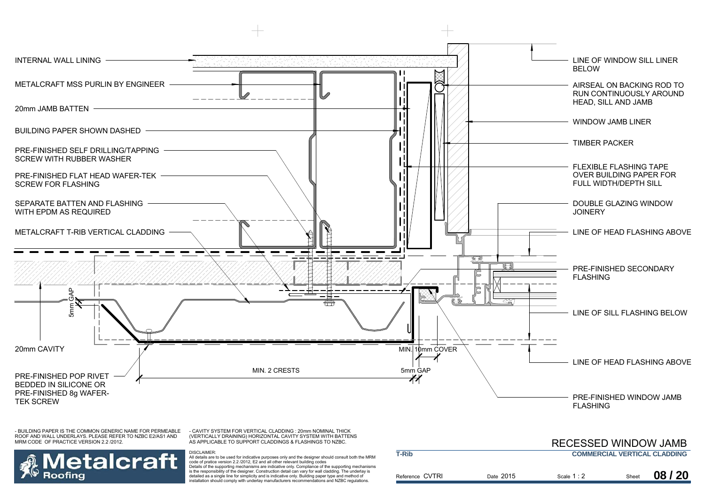

- CAVITY SYSTEM FOR VERTICAL CLADDING : 20mm NOMINAL THICK (VERTICALLY DRAINING) HORIZONTAL CAVITY SYSTEM WITH BATTENS AS APPLICABLE TO SUPPORT CLADDINGS & FLASHINGS TO NZBC.



DISCLAIMER:

 All details are to be used for indicative purposes only and the designer should consult both the MRM code of pratice version 2.2 /2012, E2 and all other relevant building codes Details of the supporting mechanisms are indicative only. Compliance of the supporting mechanisms is the responsibility of the designer. Construction detail can vary for wall cladding. The underlay is detailed as a single line for simplicity and is indicative only. Building paper type and method of installation should comply with underlay manufacturers recommendations and NZBC regulations.

|                 |           | <b>RECESSED WINDOW JAMB</b>         |       |       |
|-----------------|-----------|-------------------------------------|-------|-------|
| <b>T-Rib</b>    |           | <b>COMMERCIAL VERTICAL CLADDING</b> |       |       |
| Reference CVTRI | Date 2015 | Scale $1:2$                         | Sheet | 08/20 |
|                 |           |                                     |       |       |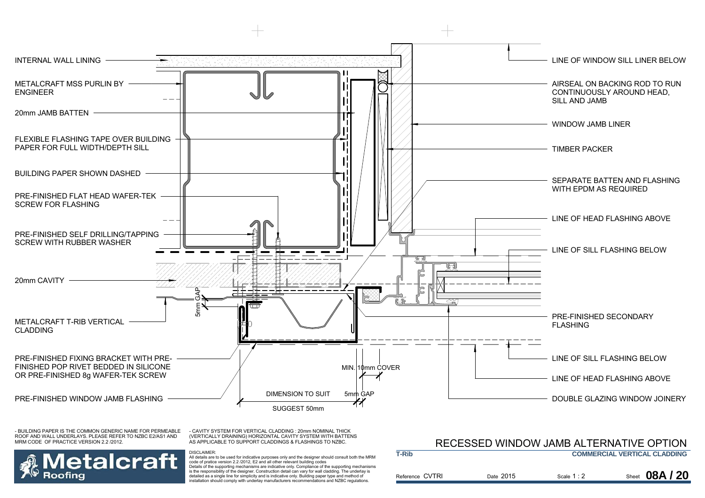

- CAVITY SYSTEM FOR VERTICAL CLADDING : 20mm NOMINAL THICK (VERTICALLY DRAINING) HORIZONTAL CAVITY SYSTEM WITH BATTENS AS APPLICABLE TO SUPPORT CLADDINGS & FLASHINGS TO NZBC.

DISCLAIMER:



 All details are to be used for indicative purposes only and the designer should consult both the MRM code of pratice version 2.2 /2012, E2 and all other relevant building codes Details of the supporting mechanisms are indicative only. Compliance of the supporting mechanisms is the responsibility of the designer. Construction detail can vary for wall cladding. The underlay is detailed as a single line for simplicity and is indicative only. Building paper type and method of installation should comply with underlay manufacturers recommendations and NZBC regulations.

#### RECESSED WINDOW JAMB ALTERNATIVE OPTION

| <b>T-Rib</b>    |           |             | <b>COMMERCIAL VERTICAL CLADDING</b> |
|-----------------|-----------|-------------|-------------------------------------|
| Reference CVTRI | Date 2015 | Scale $1:2$ | Sheet 08A / 20                      |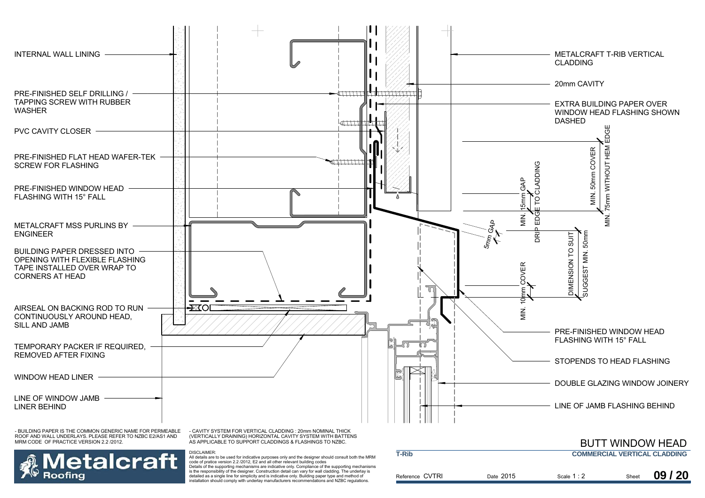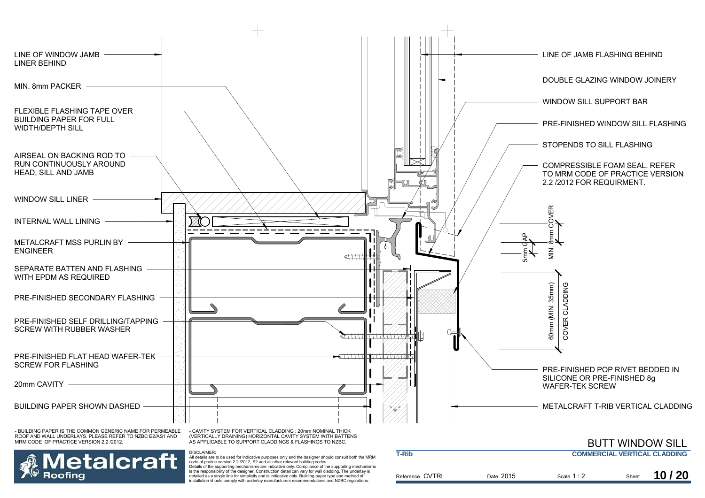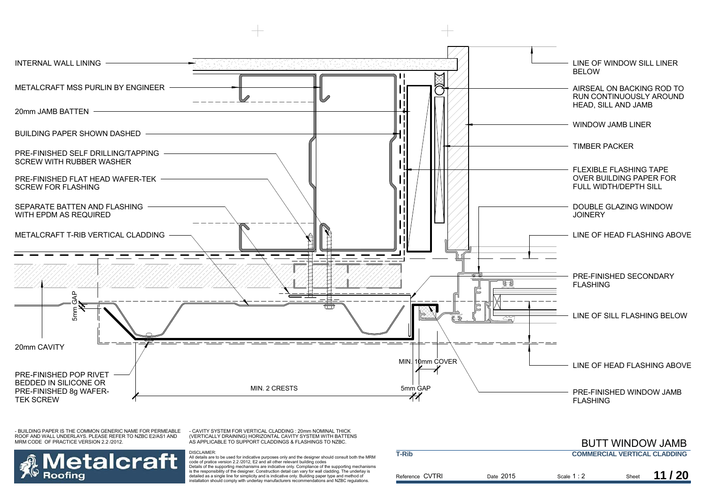

- CAVITY SYSTEM FOR VERTICAL CLADDING : 20mm NOMINAL THICK (VERTICALLY DRAINING) HORIZONTAL CAVITY SYSTEM WITH BATTENS AS APPLICABLE TO SUPPORT CLADDINGS & FLASHINGS TO NZBC.

DISCLAIMER:



 All details are to be used for indicative purposes only and the designer should consult both the MRM code of pratice version 2.2 /2012, E2 and all other relevant building codes Details of the supporting mechanisms are indicative only. Compliance of the supporting mechanisms is the responsibility of the designer. Construction detail can vary for wall cladding. The underlay is detailed as a single line for simplicity and is indicative only. Building paper type and method of installation should comply with underlay manufacturers recommendations and NZBC regulations.

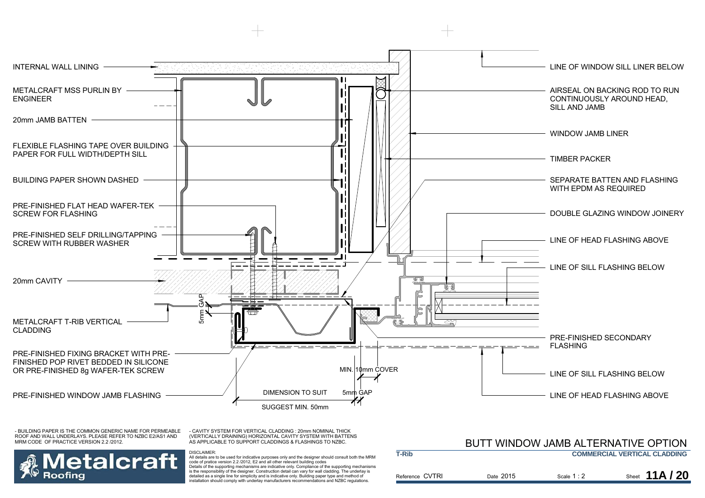

- CAVITY SYSTEM FOR VERTICAL CLADDING : 20mm NOMINAL THICK (VERTICALLY DRAINING) HORIZONTAL CAVITY SYSTEM WITH BATTENS AS APPLICABLE TO SUPPORT CLADDINGS & FLASHINGS TO NZBC.

DISCLAIMER:



 All details are to be used for indicative purposes only and the designer should consult both the MRM code of pratice version 2.2 /2012, E2 and all other relevant building codes Details of the supporting mechanisms are indicative only. Compliance of the supporting mechanisms is the responsibility of the designer. Construction detail can vary for wall cladding. The underlay is detailed as a single line for simplicity and is indicative only. Building paper type and method of installation should comply with underlay manufacturers recommendations and NZBC regulations.

#### BUTT WINDOW JAMB ALTERNATIVE OPTION

| <b>T-Rib</b>    |           |             | <b>COMMERCIAL VERTICAL CLADDING</b> |
|-----------------|-----------|-------------|-------------------------------------|
| Reference CVTRI | Date 2015 | Scale $1:2$ | Sheet 11A / 20                      |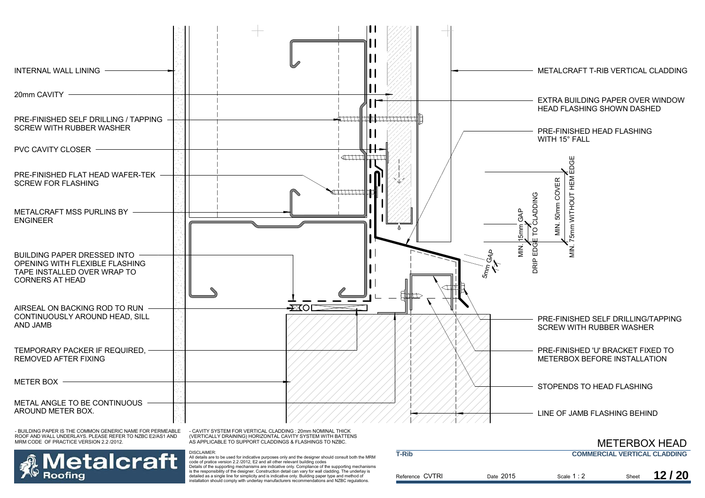

etalcraft Roofina

DISCLAIMER: All details are to be used for indicative purposes only and the designer should consult both the MRM code of pratice version 2.2 /2012, E2 and all other relevant building codes

Details of the supporting mechanisms are indicative only. Compliance of the supporting mechanisms is the responsibility of the designer. Construction detail can vary for wall cladding. The underlay is detailed as a single line for simplicity and is indicative only. Building paper type and method of installation should comply with underlay manufacturers recommendations and NZBC regulations.

|                 |           | <b>METERBOX HEAD</b>                |       |       |
|-----------------|-----------|-------------------------------------|-------|-------|
| <b>T-Rib</b>    |           | <b>COMMERCIAL VERTICAL CLADDING</b> |       |       |
| Reference CVTRI | Date 2015 | Scale 1 : 2                         | Sheet | 12/20 |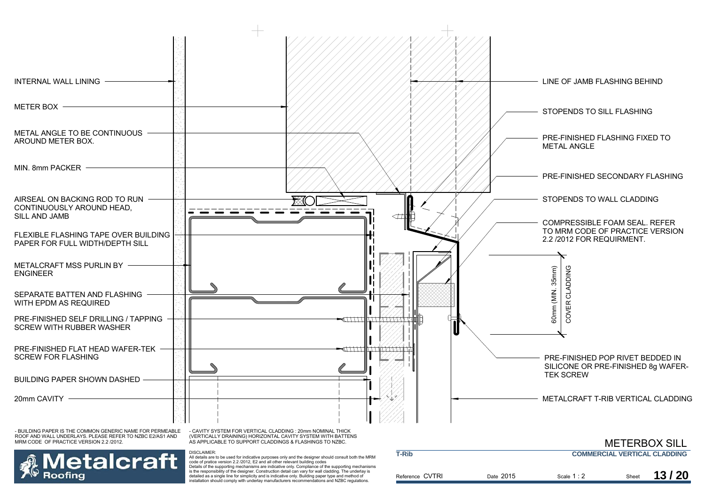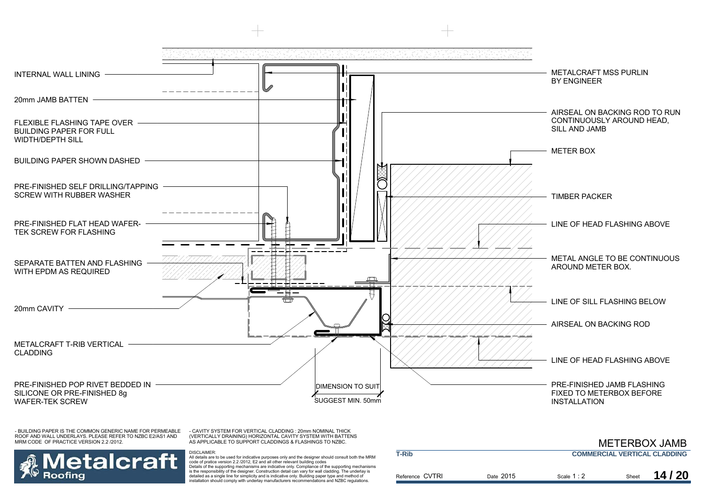

- CAVITY SYSTEM FOR VERTICAL CLADDING : 20mm NOMINAL THICK (VERTICALLY DRAINING) HORIZONTAL CAVITY SYSTEM WITH BATTENS AS APPLICABLE TO SUPPORT CLADDINGS & FLASHINGS TO NZBC.



DISCLAIMER: All details are to be used for indicative purposes only and the designer should consult both the MRM code of pratice version 2.2 /2012, E2 and all other relevant building codes Details of the supporting mechanisms are indicative only. Compliance of the supporting mechanisms

is the responsibility of the designer. Construction detail can vary for wall cladding. The underlay is detailed as a single line for simplicity and is indicative only. Building paper type and method of installation should comply with underlay manufacturers recommendations and NZBC regulations.

|                 |           |             |       | <b>METERBOX JAMB</b>                |
|-----------------|-----------|-------------|-------|-------------------------------------|
| <b>T-Rib</b>    |           |             |       | <b>COMMERCIAL VERTICAL CLADDING</b> |
| Reference CVTRI | Date 2015 | Scale $1:2$ | Sheet | 14/20                               |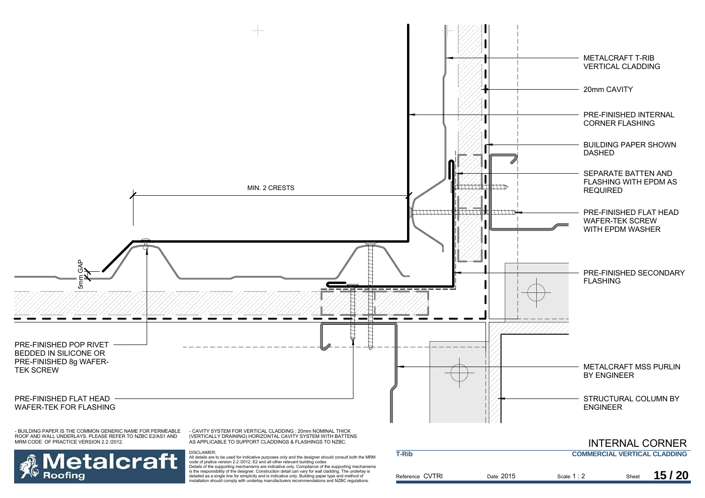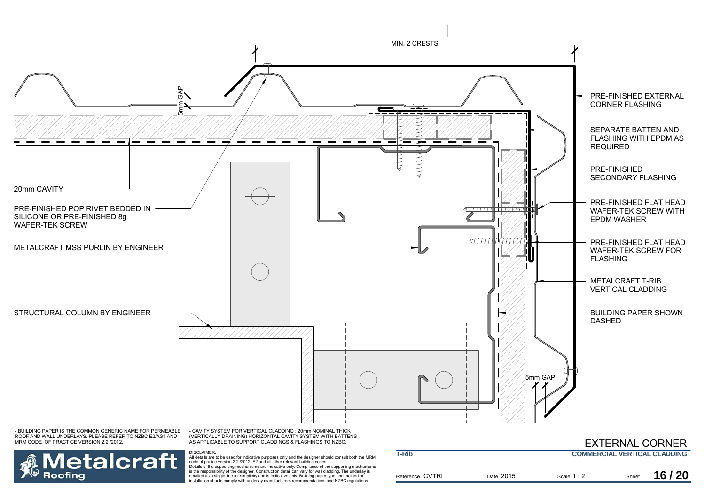

Reference CVTRI

Date 2015

Scale Sheet 1 : 2

2 Sheet **16/20** 

**letalcraft** Roofina

DISCLAIMER:<br>All details are to be used for indicative purposes only and the designer should consult both the MRM<br>code of pratice version 2.2 /2012, E2 and all other relevant building codes Details of the supporting mechanisms are indicative only. Compliance of the supporting mechanisms is the responsibility of the designer. Construction detail can vary for wall cladding. The underlay is detailed as a single line for simplicity and is indicative only. Building paper type and method of installation should comply with underlay manufacturers recommendations and NZBC regulations.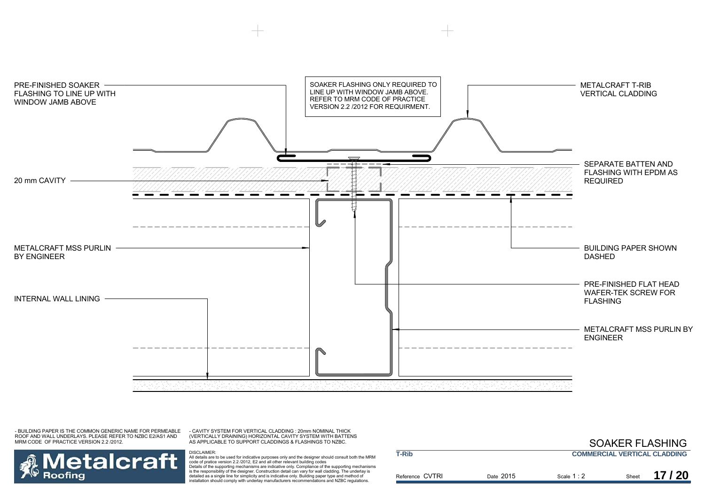

- CAVITY SYSTEM FOR VERTICAL CLADDING : 20mm NOMINAL THICK (VERTICALLY DRAINING) HORIZONTAL CAVITY SYSTEM WITH BATTENS AS APPLICABLE TO SUPPORT CLADDINGS & FLASHINGS TO NZBC.



DISCLAIMER:<br>All details are to be used for indicative purposes only and the designer should consult both the MRM<br>code of pratice version 2.2 /2012, E2 and all other relevant building codes Details of the supporting mechanisms are indicative only. Compliance of the supporting mechanisms is the responsibility of the designer. Construction detail can vary for wall cladding. The underlay is detailed as a single line for simplicity and is indicative only. Building paper type and method of installation should comply with underlay manufacturers recommendations and NZBC regulations.

|                 |           | <b>SOAKER FLASHING</b>              |       |       |
|-----------------|-----------|-------------------------------------|-------|-------|
| <b>T-Rib</b>    |           | <b>COMMERCIAL VERTICAL CLADDING</b> |       |       |
| Reference CVTRI | Date 2015 | Scale $1:2$                         | Sheet | 17/20 |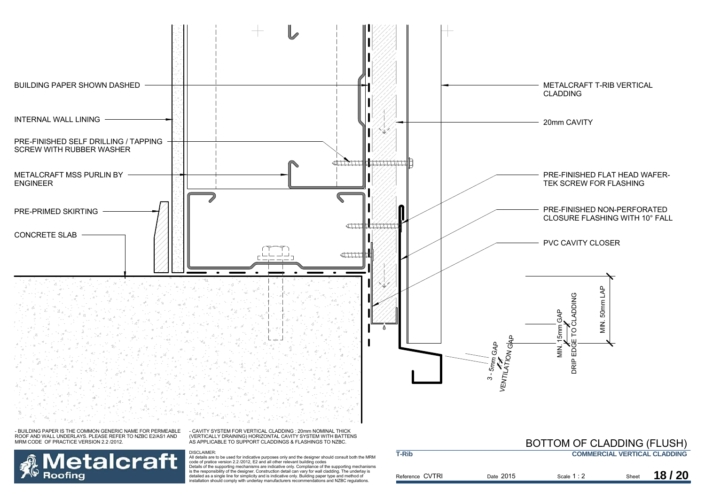

Reference CVTRI

is the responsibility of the designer. Construction detail can vary for wall cladding. The underlay is detailed as a single line for simplicity and is indicative only. Building paper type and method of installation should comply with underlay manufacturers recommendations and NZBC regulations.

**Roofing** 

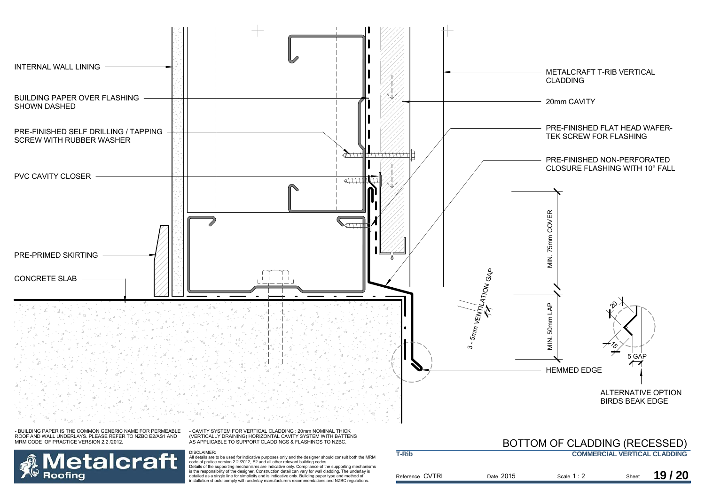